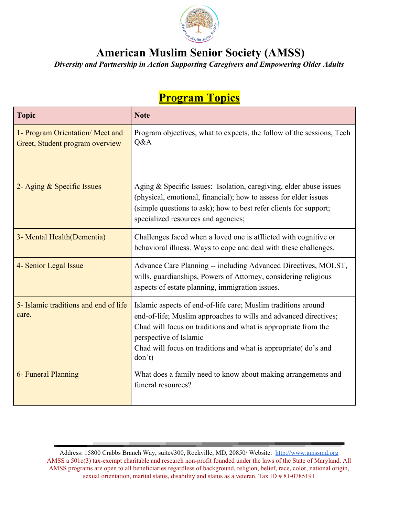

## **American Muslim Senior Society (AMSS)**

*Diversity and Partnership in Action Supporting Caregivers and Empowering Older Adults*

## **Program Topics**

| <b>Topic</b>                                                       | <b>Note</b>                                                                                                                                                                                                                                                                                               |
|--------------------------------------------------------------------|-----------------------------------------------------------------------------------------------------------------------------------------------------------------------------------------------------------------------------------------------------------------------------------------------------------|
| 1- Program Orientation/Meet and<br>Greet, Student program overview | Program objectives, what to expects, the follow of the sessions, Tech<br>Q&A                                                                                                                                                                                                                              |
| 2- Aging & Specific Issues                                         | Aging & Specific Issues: Isolation, caregiving, elder abuse issues<br>(physical, emotional, financial); how to assess for elder issues<br>(simple questions to ask); how to best refer clients for support;<br>specialized resources and agencies;                                                        |
| 3- Mental Health (Dementia)                                        | Challenges faced when a loved one is afflicted with cognitive or<br>behavioral illness. Ways to cope and deal with these challenges.                                                                                                                                                                      |
| 4- Senior Legal Issue                                              | Advance Care Planning -- including Advanced Directives, MOLST,<br>wills, guardianships, Powers of Attorney, considering religious<br>aspects of estate planning, immigration issues.                                                                                                                      |
| 5- Islamic traditions and end of life<br>care.                     | Islamic aspects of end-of-life care; Muslim traditions around<br>end-of-life; Muslim approaches to wills and advanced directives;<br>Chad will focus on traditions and what is appropriate from the<br>perspective of Islamic<br>Chad will focus on traditions and what is appropriate(do's and<br>don't) |
| 6- Funeral Planning                                                | What does a family need to know about making arrangements and<br>funeral resources?                                                                                                                                                                                                                       |

Address: 15800 Crabbs Branch Way, suite#300, Rockville, MD, 20850/ Website: [http://www.amssmd.org](http://www.amssmd.org/) AMSS a 501c(3) tax-exempt charitable and research non-profit founded under the laws of the State of Maryland. All AMSS programs are open to all beneficiaries regardless of background, religion, belief, race, color, national origin, sexual orientation, marital status, disability and status as a veteran. Tax ID # 81-0785191